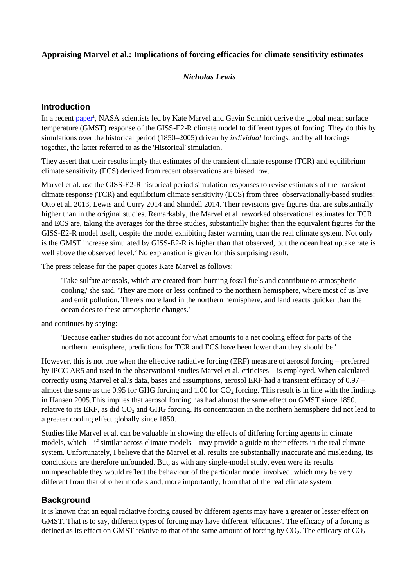### **Appraising Marvel et al.: Implications of forcing efficacies for climate sensitivity estimates**

### *Nicholas Lewis*

#### **Introduction**

In a recent [paper](http://www.nature.com/nclimate/journal/vaop/ncurrent/full/nclimate2888.html)<sup>1</sup>, NASA scientists led by Kate Marvel and Gavin Schmidt derive the global mean surface temperature (GMST) response of the GISS-E2-R climate model to different types of forcing. They do this by simulations over the historical period (1850–2005) driven by *individual* forcings, and by all forcings together, the latter referred to as the 'Historical' simulation.

They assert that their results imply that estimates of the transient climate response (TCR) and equilibrium climate sensitivity (ECS) derived from recent observations are biased low.

Marvel et al. use the GISS-E2-R historical period simulation responses to revise estimates of the transient climate response (TCR) and equilibrium climate sensitivity (ECS) from three observationally-based studies: Otto et al. 2013, Lewis and Curry 2014 and Shindell 2014. Their revisions give figures that are substantially higher than in the original studies. Remarkably, the Marvel et al. reworked observational estimates for TCR and ECS are, taking the averages for the three studies, substantially higher than the equivalent figures for the GISS-E2-R model itself, despite the model exhibiting faster warming than the real climate system. Not only is the GMST increase simulated by GISS-E2-R is higher than that observed, but the ocean heat uptake rate is well above the observed level.<sup>2</sup> No explanation is given for this surprising result.

The press release for the paper quotes Kate Marvel as follows:

'Take sulfate aerosols, which are created from burning fossil fuels and contribute to atmospheric cooling,' she said. 'They are more or less confined to the northern hemisphere, where most of us live and emit pollution. There's more land in the northern hemisphere, and land reacts quicker than the ocean does to these atmospheric changes.'

and continues by saying:

'Because earlier studies do not account for what amounts to a net cooling effect for parts of the northern hemisphere, predictions for TCR and ECS have been lower than they should be.'

However, this is not true when the effective radiative forcing (ERF) measure of aerosol forcing – preferred by IPCC AR5 and used in the observational studies Marvel et al. criticises – is employed. When calculated correctly using Marvel et al.'s data, bases and assumptions, aerosol ERF had a transient efficacy of 0.97 – almost the same as the 0.95 for GHG forcing and 1.00 for  $CO<sub>2</sub>$  forcing. This result is in line with the findings in Hansen 2005.This implies that aerosol forcing has had almost the same effect on GMST since 1850, relative to its ERF, as did  $CO<sub>2</sub>$  and GHG forcing. Its concentration in the northern hemisphere did not lead to a greater cooling effect globally since 1850.

Studies like Marvel et al. can be valuable in showing the effects of differing forcing agents in climate models, which – if similar across climate models – may provide a guide to their effects in the real climate system. Unfortunately, I believe that the Marvel et al. results are substantially inaccurate and misleading. Its conclusions are therefore unfounded. But, as with any single-model study, even were its results unimpeachable they would reflect the behaviour of the particular model involved, which may be very different from that of other models and, more importantly, from that of the real climate system.

#### **Background**

It is known that an equal radiative forcing caused by different agents may have a greater or lesser effect on GMST. That is to say, different types of forcing may have different 'efficacies'. The efficacy of a forcing is defined as its effect on GMST relative to that of the same amount of forcing by  $CO_2$ . The efficacy of  $CO_2$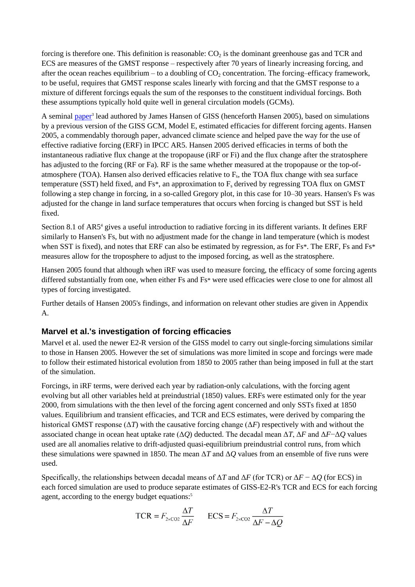forcing is therefore one. This definition is reasonable:  $CO<sub>2</sub>$  is the dominant greenhouse gas and TCR and ECS are measures of the GMST response – respectively after 70 years of linearly increasing forcing, and after the ocean reaches equilibrium – to a doubling of  $CO<sub>2</sub>$  concentration. The forcing–efficacy framework, to be useful, requires that GMST response scales linearly with forcing and that the GMST response to a mixture of different forcings equals the sum of the responses to the constituent individual forcings. Both these assumptions typically hold quite well in general circulation models (GCMs).

A seminal [paper](http://www.researchgate.net/profile/Patrick_Minnis/publication/237087245_Efficacy_of_climate_forcings/links/02e7e522670bc6e492000000.pdf)<sup>3</sup> lead authored by James Hansen of GISS (henceforth Hansen 2005), based on simulations by a previous version of the GISS GCM, Model E, estimated efficacies for different forcing agents. Hansen 2005, a commendably thorough paper, advanced climate science and helped pave the way for the use of effective radiative forcing (ERF) in IPCC AR5. Hansen 2005 derived efficacies in terms of both the instantaneous radiative flux change at the tropopause (iRF or Fi) and the flux change after the stratosphere has adjusted to the forcing (RF or Fa). RF is the same whether measured at the tropopause or the top-ofatmosphere (TOA). Hansen also derived efficacies relative to  $F_s$ , the TOA flux change with sea surface temperature (SST) held fixed, and  $Fs^*$ , an approximation to  $F_s$  derived by regressing TOA flux on GMST following a step change in forcing, in a so-called Gregory plot, in this case for 10–30 years. Hansen's Fs was adjusted for the change in land surface temperatures that occurs when forcing is changed but SST is held fixed.

Section 8.1 of AR5<sup>4</sup> gives a useful introduction to radiative forcing in its different variants. It defines ERF similarly to Hansen's Fs, but with no adjustment made for the change in land temperature (which is modest when SST is fixed), and notes that ERF can also be estimated by regression, as for Fs<sup>\*</sup>. The ERF, Fs and Fs<sup>\*</sup> measures allow for the troposphere to adjust to the imposed forcing, as well as the stratosphere.

Hansen 2005 found that although when iRF was used to measure forcing, the efficacy of some forcing agents differed substantially from one, when either Fs and Fs\* were used efficacies were close to one for almost all types of forcing investigated.

Further details of Hansen 2005's findings, and information on relevant other studies are given in Appendix A.

## **Marvel et al.'s investigation of forcing efficacies**

Marvel et al. used the newer E2-R version of the GISS model to carry out single-forcing simulations similar to those in Hansen 2005. However the set of simulations was more limited in scope and forcings were made to follow their estimated historical evolution from 1850 to 2005 rather than being imposed in full at the start of the simulation.

Forcings, in iRF terms, were derived each year by radiation-only calculations, with the forcing agent evolving but all other variables held at preindustrial (1850) values. ERFs were estimated only for the year 2000, from simulations with the then level of the forcing agent concerned and only SSTs fixed at 1850 values. Equilibrium and transient efficacies, and TCR and ECS estimates, were derived by comparing the historical GMST response ( $\Delta T$ ) with the causative forcing change ( $\Delta F$ ) respectively with and without the associated change in ocean heat uptake rate (Δ*Q*) deducted. The decadal mean Δ*T*, Δ*F* and Δ*F*−Δ*Q* values used are all anomalies relative to drift-adjusted quasi-equilibrium preindustrial control runs, from which these simulations were spawned in 1850. The mean Δ*T* and Δ*Q* values from an ensemble of five runs were used.

Specifically, the relationships between decadal means of Δ*T* and Δ*F* (for TCR) or Δ*F* − Δ*Q* (for ECS) in each forced simulation are used to produce separate estimates of GISS-E2-R's TCR and ECS for each forcing agent, according to the energy budget equations:<sup>5</sup>

$$
TCR = F_{2 \times CO2} \frac{\Delta T}{\Delta F} \qquad ECS = F_{2 \times CO2} \frac{\Delta T}{\Delta F - \Delta Q}
$$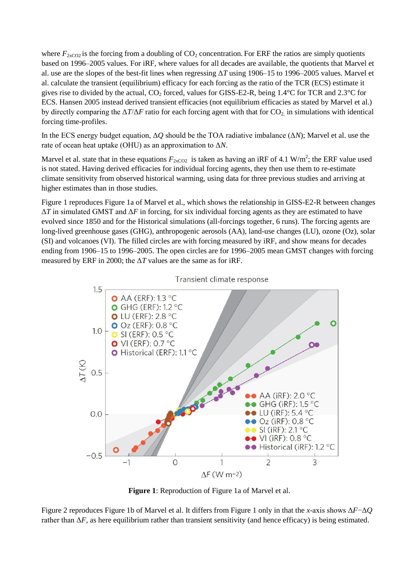where  $F_{2xCO2}$  is the forcing from a doubling of  $CO_2$  concentration. For ERF the ratios are simply quotients based on 1996–2005 values. For iRF, where values for all decades are available, the quotients that Marvel et al. use are the slopes of the best-fit lines when regressing Δ*T* using 1906–15 to 1996–2005 values. Marvel et al. calculate the transient (equilibrium) efficacy for each forcing as the ratio of the TCR (ECS) estimate it gives rise to divided by the actual,  $CO_2$  forced, values for GISS-E2-R, being 1.4°C for TCR and 2.3°C for ECS. Hansen 2005 instead derived transient efficacies (not equilibrium efficacies as stated by Marvel et al.) by directly comparing the  $\Delta T/\Delta F$  ratio for each forcing agent with that for CO<sub>2</sub>, in simulations with identical forcing time-profiles.

In the ECS energy budget equation, Δ*Q* should be the TOA radiative imbalance (Δ*N*); Marvel et al. use the rate of ocean heat uptake (OHU) as an approximation to Δ*N*.

Marvel et al. state that in these equations  $F_{2xCO2}$  is taken as having an iRF of 4.1 W/m<sup>2</sup>; the ERF value used is not stated. Having derived efficacies for individual forcing agents, they then use them to re-estimate climate sensitivity from observed historical warming, using data for three previous studies and arriving at higher estimates than in those studies.

Figure 1 reproduces Figure 1a of Marvel et al., which shows the relationship in GISS-E2-R between changes Δ*T* in simulated GMST and Δ*F* in forcing, for six individual forcing agents as they are estimated to have evolved since 1850 and for the Historical simulations (all-forcings together, 6 runs). The forcing agents are long-lived greenhouse gases (GHG), anthropogenic aerosols (AA), land-use changes (LU), ozone (Oz), solar (SI) and volcanoes (VI). The filled circles are with forcing measured by iRF, and show means for decades ending from 1906–15 to 1996–2005. The open circles are for 1996–2005 mean GMST changes with forcing measured by ERF in 2000; the  $\Delta T$  values are the same as for iRF.



Transient climate response

**Figure 1**: Reproduction of Figure 1a of Marvel et al.

Figure 2 reproduces Figure 1b of Marvel et al. It differs from Figure 1 only in that the *x*-axis shows Δ*F*−Δ*Q* rather than  $\Delta F$ , as here equilibrium rather than transient sensitivity (and hence efficacy) is being estimated.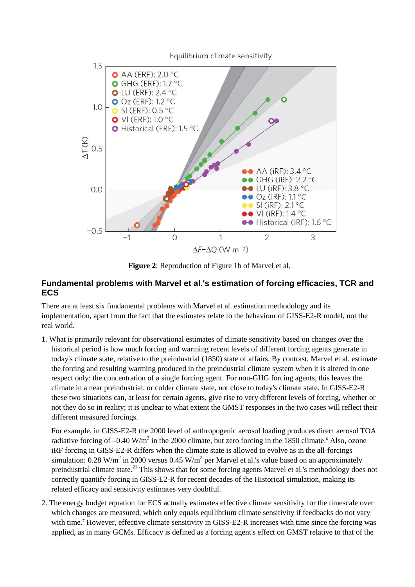

**Figure 2**: Reproduction of Figure 1b of Marvel et al.

### **Fundamental problems with Marvel et al.'s estimation of forcing efficacies, TCR and ECS**

There are at least six fundamental problems with Marvel et al. estimation methodology and its implementation, apart from the fact that the estimates relate to the behaviour of GISS-E2-R model, not the real world.

1. What is primarily relevant for observational estimates of climate sensitivity based on changes over the historical period is how much forcing and warming recent levels of different forcing agents generate in today's climate state, relative to the preindustrial (1850) state of affairs. By contrast, Marvel et al. estimate the forcing and resulting warming produced in the preindustrial climate system when it is altered in one respect only: the concentration of a single forcing agent. For non-GHG forcing agents, this leaves the climate in a near preindustrial, or colder climate state, not close to today's climate state. In GISS-E2-R these two situations can, at least for certain agents, give rise to very different levels of forcing, whether or not they do so in reality; it is unclear to what extent the GMST responses in the two cases will reflect their different measured forcings.

For example, in GISS-E2-R the 2000 level of anthropogenic aerosol loading produces direct aerosol TOA radiative forcing of  $-0.40$  W/m<sup>2</sup> in the 2000 climate, but zero forcing in the 1850 climate.<sup>6</sup> Also, ozone iRF forcing in GISS-E2-R differs when the climate state is allowed to evolve as in the all-forcings simulation: 0.28 W/m<sup>2</sup> in 2000 versus 0.45 W/m<sup>2</sup> per Marvel et al.'s value based on an approximately preindustrial climate state.<sup>21</sup> This shows that for some forcing agents Marvel et al.'s methodology does not correctly quantify forcing in GISS-E2-R for recent decades of the Historical simulation, making its related efficacy and sensitivity estimates very doubtful.

2. The energy budget equation for ECS actually estimates effective climate sensitivity for the timescale over which changes are measured, which only equals equilibrium climate sensitivity if feedbacks do not vary with time.<sup>7</sup> However, effective climate sensitivity in GISS-E2-R increases with time since the forcing was applied, as in many GCMs. Efficacy is defined as a forcing agent's effect on GMST relative to that of the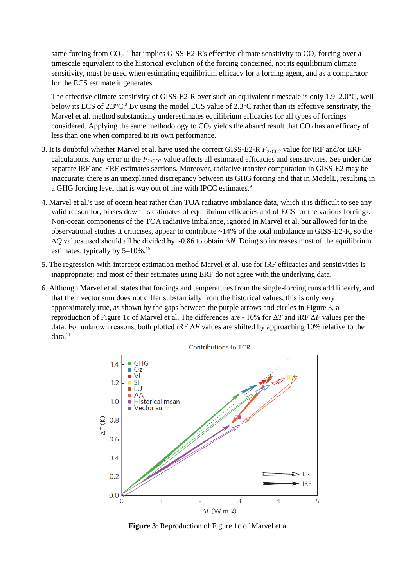same forcing from  $CO_2$ . That implies GISS-E2-R's effective climate sensitivity to  $CO_2$  forcing over a timescale equivalent to the historical evolution of the forcing concerned, not its equilibrium climate sensitivity, must be used when estimating equilibrium efficacy for a forcing agent, and as a comparator for the ECS estimate it generates.

The effective climate sensitivity of GISS-E2-R over such an equivalent timescale is only 1.9–2.0°C, well below its ECS of 2.3°C. <sup>8</sup> By using the model ECS value of 2.3°C rather than its effective sensitivity, the Marvel et al. method substantially underestimates equilibrium efficacies for all types of forcings considered. Applying the same methodology to  $CO<sub>2</sub>$  yields the absurd result that  $CO<sub>2</sub>$  has an efficacy of less than one when compared to its own performance.

- 3. It is doubtful whether Marvel et al. have used the correct GISS-E2-R  $F_{2xCO2}$  value for iRF and/or ERF calculations. Any error in the  $F_{2xCO2}$  value affects all estimated efficacies and sensitivities. See under the separate iRF and ERF estimates sections. Moreover, radiative transfer computation in GISS-E2 may be inaccurate; there is an unexplained discrepancy between its GHG forcing and that in ModelE, resulting in a GHG forcing level that is way out of line with IPCC estimates.<sup>9</sup>
- 4. Marvel et al.'s use of ocean heat rather than TOA radiative imbalance data, which it is difficult to see any valid reason for, biases down its estimates of equilibrium efficacies and of ECS for the various forcings. Non-ocean components of the TOA radiative imbalance, ignored in Marvel et al. but allowed for in the observational studies it criticises, appear to contribute ~14% of the total imbalance in GISS-E2-R, so the Δ*Q* values used should all be divided by ~0.86 to obtain Δ*N*. Doing so increases most of the equilibrium estimates, typically by 5–10%.<sup>10</sup>
- 5. The regression-with-intercept estimation method Marvel et al. use for iRF efficacies and sensitivities is inappropriate; and most of their estimates using ERF do not agree with the underlying data.
- 6. Although Marvel et al. states that forcings and temperatures from the single-forcing runs add linearly, and that their vector sum does not differ substantially from the historical values, this is only very approximately true, as shown by the gaps between the purple arrows and circles in Figure 3, a reproduction of Figure 1c of Marvel et al. The differences are ~10% for Δ*T* and iRF Δ*F* values per the data. For unknown reasons, both plotted iRF Δ*F* values are shifted by approaching 10% relative to the  $data.<sup>11</sup>$



**Figure 3**: Reproduction of Figure 1c of Marvel et al.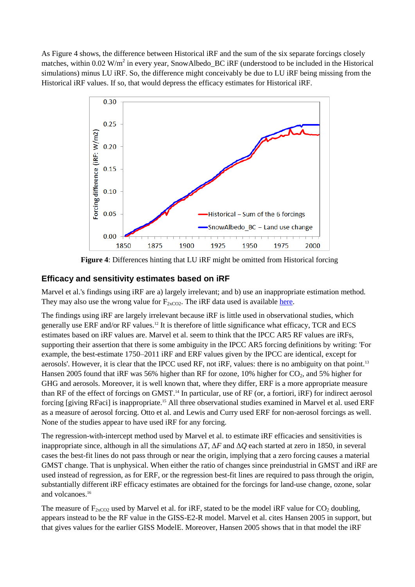As Figure 4 shows, the difference between Historical iRF and the sum of the six separate forcings closely matches, within  $0.02 \text{ W/m}^2$  in every year, SnowAlbedo\_BC iRF (understood to be included in the Historical simulations) minus LU iRF. So, the difference might conceivably be due to LU iRF being missing from the Historical iRF values. If so, that would depress the efficacy estimates for Historical iRF.



**Figure 4**: Differences hinting that LU iRF might be omitted from Historical forcing

## **Efficacy and sensitivity estimates based on iRF**

Marvel et al.'s findings using iRF are a) largely irrelevant; and b) use an inappropriate estimation method. They may also use the wrong value for  $F_{2xCO2}$ . The iRF data used is available [here.](http://data.giss.nasa.gov/modelforce/Fi_Miller_et_al14.txt)

The findings using iRF are largely irrelevant because iRF is little used in observational studies, which generally use ERF and/or RF values.<sup>12</sup> It is therefore of little significance what efficacy, TCR and ECS estimates based on iRF values are. Marvel et al. seem to think that the IPCC AR5 RF values are iRFs, supporting their assertion that there is some ambiguity in the IPCC AR5 forcing definitions by writing: 'For example, the best-estimate 1750–2011 iRF and ERF values given by the IPCC are identical, except for aerosols'. However, it is clear that the IPCC used RF, not iRF, values: there is no ambiguity on that point.<sup>13</sup> Hansen 2005 found that iRF was 56% higher than RF for ozone, 10% higher for  $CO<sub>2</sub>$ , and 5% higher for GHG and aerosols. Moreover, it is well known that, where they differ, ERF is a more appropriate measure than RF of the effect of forcings on GMST. <sup>14</sup> In particular, use of RF (or, a fortiori, iRF) for indirect aerosol forcing [giving RFaci] is inappropriate.<sup>15</sup> All three observational studies examined in Marvel et al. used ERF as a measure of aerosol forcing. Otto et al. and Lewis and Curry used ERF for non-aerosol forcings as well. None of the studies appear to have used iRF for any forcing.

The regression-with-intercept method used by Marvel et al. to estimate iRF efficacies and sensitivities is inappropriate since, although in all the simulations Δ*T*, Δ*F* and Δ*Q* each started at zero in 1850, in several cases the best-fit lines do not pass through or near the origin, implying that a zero forcing causes a material GMST change. That is unphysical. When either the ratio of changes since preindustrial in GMST and iRF are used instead of regression, as for ERF, or the regression best-fit lines are required to pass through the origin, substantially different iRF efficacy estimates are obtained for the forcings for land-use change, ozone, solar and volcanoes. 16

The measure of  $F_{2xCO2}$  used by Marvel et al. for iRF, stated to be the model iRF value for  $CO_2$  doubling, appears instead to be the RF value in the GISS-E2-R model. Marvel et al. cites Hansen 2005 in support, but that gives values for the earlier GISS ModelE. Moreover, Hansen 2005 shows that in that model the iRF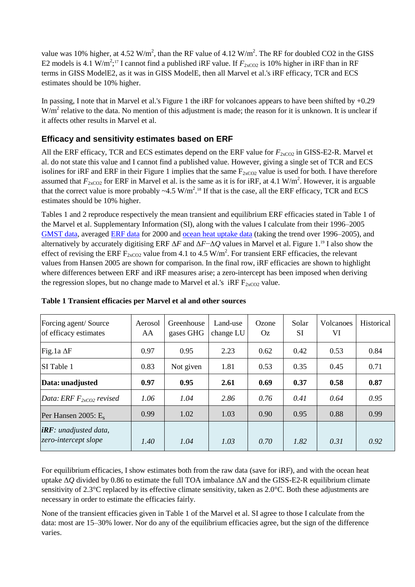value was 10% higher, at 4.52 W/m<sup>2</sup>, than the RF value of 4.12 W/m<sup>2</sup>. The RF for doubled CO2 in the GISS E2 models is 4.1 W/m<sup>2</sup>;<sup>17</sup> I cannot find a published iRF value. If  $F_{2xCO2}$  is 10% higher in iRF than in RF terms in GISS ModelE2, as it was in GISS ModelE, then all Marvel et al.'s iRF efficacy, TCR and ECS estimates should be 10% higher.

In passing, I note that in Marvel et al.'s Figure 1 the iRF for volcanoes appears to have been shifted by +0.29  $W/m<sup>2</sup>$  relative to the data. No mention of this adjustment is made; the reason for it is unknown. It is unclear if it affects other results in Marvel et al.

# **Efficacy and sensitivity estimates based on ERF**

All the ERF efficacy, TCR and ECS estimates depend on the ERF value for  $F_{2xCO2}$  in GISS-E2-R. Marvel et al. do not state this value and I cannot find a published value. However, giving a single set of TCR and ECS isolines for iRF and ERF in their Figure 1 implies that the same  $F_{2xCO2}$  value is used for both. I have therefore assumed that  $F_{2xCO2}$  for ERF in Marvel et al. is the same as it is for iRF, at 4.1 W/m<sup>2</sup>. However, it is arguable that the correct value is more probably  $\sim 4.5 \text{ W/m}^2$ .<sup>18</sup> If that is the case, all the ERF efficacy, TCR and ECS estimates should be 10% higher.

Tables 1 and 2 reproduce respectively the mean transient and equilibrium ERF efficacies stated in Table 1 of the Marvel et al. Supplementary Information (SI), along with the values I calculate from their 1996–2005 [GMST data,](http://data.giss.nasa.gov/modelforce/tas.Marvel_etal2015.csv) averaged [ERF data](http://data.giss.nasa.gov/modelforce/Fs_Miller_et_al14.txt) for 2000 and [ocean heat uptake data](http://data.giss.nasa.gov/modelforce/ohc.Marvel_etal2015.csv) (taking the trend over 1996–2005), and alternatively by accurately digitising ERF Δ*F* and Δ*F*−Δ*Q* values in Marvel et al. Figure 1. <sup>19</sup> I also show the effect of revising the ERF  $F_{2xCO2}$  value from 4.1 to 4.5 W/m<sup>2</sup>. For transient ERF efficacies, the relevant values from Hansen 2005 are shown for comparison. In the final row, iRF efficacies are shown to highlight where differences between ERF and iRF measures arise; a zero-intercept has been imposed when deriving the regression slopes, but no change made to Marvel et al.'s  $iRF F_{2xCO2}$  value.

| Forcing agent/Source<br>of efficacy estimates    | Aerosol<br>AA | Greenhouse<br>gases GHG | Land-use<br>change LU | Ozone<br>Oz | Solar<br>SI | <b>Volcanoes</b><br>VI | Historical |
|--------------------------------------------------|---------------|-------------------------|-----------------------|-------------|-------------|------------------------|------------|
| Fig.1a $\Delta F$                                | 0.97          | 0.95                    | 2.23                  | 0.62        | 0.42        | 0.53                   | 0.84       |
| <b>SI</b> Table 1                                | 0.83          | Not given               | 1.81                  | 0.53        | 0.35        | 0.45                   | 0.71       |
| Data: unadjusted                                 | 0.97          | 0.95                    | 2.61                  | 0.69        | 0.37        | 0.58                   | 0.87       |
| Data: ERF $F_{2xCO2}$ revised                    | 1.06          | 1.04                    | 2.86                  | 0.76        | 0.41        | 0.64                   | 0.95       |
| Per Hansen 2005: $E_s$                           | 0.99          | 1.02                    | 1.03                  | 0.90        | 0.95        | 0.88                   | 0.99       |
| $iRF$ : unadjusted data,<br>zero-intercept slope | 1.40          | 1.04                    | 1.03                  | 0.70        | 1.82        | 0.31                   | 0.92       |

#### **Table 1 Transient efficacies per Marvel et al and other sources**

For equilibrium efficacies, I show estimates both from the raw data (save for iRF), and with the ocean heat uptake Δ*Q* divided by 0.86 to estimate the full TOA imbalance Δ*N* and the GISS-E2-R equilibrium climate sensitivity of 2.3°C replaced by its effective climate sensitivity, taken as 2.0°C. Both these adjustments are necessary in order to estimate the efficacies fairly.

None of the transient efficacies given in Table 1 of the Marvel et al. SI agree to those I calculate from the data: most are 15–30% lower. Nor do any of the equilibrium efficacies agree, but the sign of the difference varies.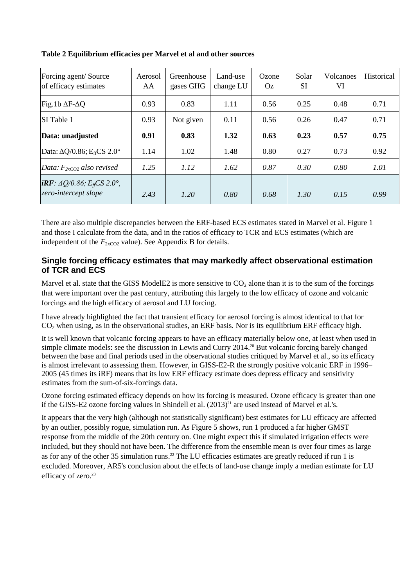| Forcing agent/Source<br>of efficacy estimates                                          | Aerosol<br>AA | Greenhouse<br>gases GHG | Land-use<br>change LU | Ozone<br>Oz. | Solar<br><b>SI</b> | <b>Volcanoes</b><br>VI | Historical |
|----------------------------------------------------------------------------------------|---------------|-------------------------|-----------------------|--------------|--------------------|------------------------|------------|
| Fig.1b $\Delta$ F- $\Delta$ Q                                                          | 0.93          | 0.83                    | 1.11                  | 0.56         |                    | 0.48                   | 0.71       |
| SI Table 1                                                                             | 0.93          | Not given               | 0.11<br>0.56          |              | 0.26<br>0.47       |                        | 0.71       |
| Data: unadjusted                                                                       | 0.91          | 0.83                    | 1.32                  | 0.63         | 0.23               | 0.57                   | 0.75       |
| Data: $\Delta Q/0.86$ ; E <sub>ff</sub> CS 2.0°                                        | 1.14          | 1.02                    | 1.48                  | 0.80         | 0.27               | 0.73                   | 0.92       |
| Data: $F_{2xCO2}$ also revised                                                         | 1.25          | 1.12                    | 1.62                  | 0.87         | 0.30               | 0.80                   | 1.01       |
| <b><i>iRF</i></b> : $\Delta Q/0.86$ ; $E_{\text{ff}}$ CS 2.0°,<br>zero-intercept slope | 2.43          | 1.20                    | 0.80                  | 0.68         | 1.30               | 0.15                   | 0.99       |

**Table 2 Equilibrium efficacies per Marvel et al and other sources**

There are also multiple discrepancies between the ERF-based ECS estimates stated in Marvel et al. Figure 1 and those I calculate from the data, and in the ratios of efficacy to TCR and ECS estimates (which are independent of the  $F_{2xCO2}$  value). See Appendix B for details.

## **Single forcing efficacy estimates that may markedly affect observational estimation of TCR and ECS**

Marvel et al. state that the GISS ModelE2 is more sensitive to  $CO<sub>2</sub>$  alone than it is to the sum of the forcings that were important over the past century, attributing this largely to the low efficacy of ozone and volcanic forcings and the high efficacy of aerosol and LU forcing.

I have already highlighted the fact that transient efficacy for aerosol forcing is almost identical to that for  $CO<sub>2</sub>$  when using, as in the observational studies, an ERF basis. Nor is its equilibrium ERF efficacy high.

It is well known that volcanic forcing appears to have an efficacy materially below one, at least when used in simple climate models: see the discussion in Lewis and Curry 2014.<sup>20</sup> But volcanic forcing barely changed between the base and final periods used in the observational studies critiqued by Marvel et al., so its efficacy is almost irrelevant to assessing them. However, in GISS-E2-R the strongly positive volcanic ERF in 1996– 2005 (45 times its iRF) means that its low ERF efficacy estimate does depress efficacy and sensitivity estimates from the sum-of-six-forcings data.

Ozone forcing estimated efficacy depends on how its forcing is measured. Ozone efficacy is greater than one if the GISS-E2 ozone forcing values in Shindell et al.  $(2013)^{21}$  are used instead of Marvel et al.'s.

It appears that the very high (although not statistically significant) best estimates for LU efficacy are affected by an outlier, possibly rogue, simulation run. As Figure 5 shows, run 1 produced a far higher GMST response from the middle of the 20th century on. One might expect this if simulated irrigation effects were included, but they should not have been. The difference from the ensemble mean is over four times as large as for any of the other 35 simulation runs.<sup>22</sup> The LU efficacies estimates are greatly reduced if run 1 is excluded. Moreover, AR5's conclusion about the effects of land-use change imply a median estimate for LU efficacy of zero. 23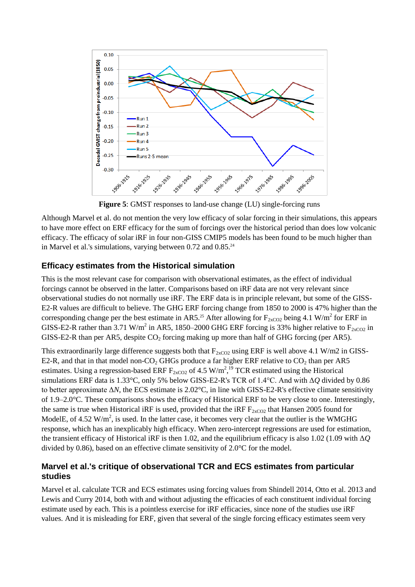

**Figure 5**: GMST responses to land-use change (LU) single-forcing runs

Although Marvel et al. do not mention the very low efficacy of solar forcing in their simulations, this appears to have more effect on ERF efficacy for the sum of forcings over the historical period than does low volcanic efficacy. The efficacy of solar iRF in four non-GISS CMIP5 models has been found to be much higher than in Marvel et al.'s simulations, varying between 0.72 and 0.85.<sup>24</sup>

### **Efficacy estimates from the Historical simulation**

This is the most relevant case for comparison with observational estimates, as the effect of individual forcings cannot be observed in the latter. Comparisons based on iRF data are not very relevant since observational studies do not normally use iRF. The ERF data is in principle relevant, but some of the GISS-E2-R values are difficult to believe. The GHG ERF forcing change from 1850 to 2000 is 47% higher than the corresponding change per the best estimate in AR5.<sup>25</sup> After allowing for  $F_{2xCO2}$  being 4.1 W/m<sup>2</sup> for ERF in GISS-E2-R rather than 3.71 W/m<sup>2</sup> in AR5, 1850–2000 GHG ERF forcing is 33% higher relative to  $F_{2xCO2}$  in GISS-E2-R than per AR5, despite  $CO_2$  forcing making up more than half of GHG forcing (per AR5).

This extraordinarily large difference suggests both that  $F_{2xCO2}$  using ERF is well above 4.1 W/m2 in GISS-E2-R, and that in that model non-CO<sub>2</sub> GHGs produce a far higher ERF relative to  $CO_2$  than per AR5 estimates. Using a regression-based ERF  $F_{2xCO2}$  of 4.5 W/m<sup>2</sup>,<sup>19</sup> TCR estimated using the Historical simulations ERF data is 1.33°C, only 5% below GISS-E2-R's TCR of 1.4°C. And with Δ*Q* divided by 0.86 to better approximate Δ*N*, the ECS estimate is 2.02°C, in line with GISS-E2-R's effective climate sensitivity of 1.9–2.0°C. These comparisons shows the efficacy of Historical ERF to be very close to one. Interestingly, the same is true when Historical iRF is used, provided that the iRF  $F_{2xCO2}$  that Hansen 2005 found for ModelE, of 4.52  $W/m^2$ , is used. In the latter case, it becomes very clear that the outlier is the WMGHG response, which has an inexplicably high efficacy. When zero-intercept regressions are used for estimation, the transient efficacy of Historical iRF is then 1.02, and the equilibrium efficacy is also 1.02 (1.09 with Δ*Q* divided by 0.86), based on an effective climate sensitivity of 2.0°C for the model.

## **Marvel et al.'s critique of observational TCR and ECS estimates from particular studies**

Marvel et al. calculate TCR and ECS estimates using forcing values from Shindell 2014, Otto et al. 2013 and Lewis and Curry 2014, both with and without adjusting the efficacies of each constituent individual forcing estimate used by each. This is a pointless exercise for iRF efficacies, since none of the studies use iRF values. And it is misleading for ERF, given that several of the single forcing efficacy estimates seem very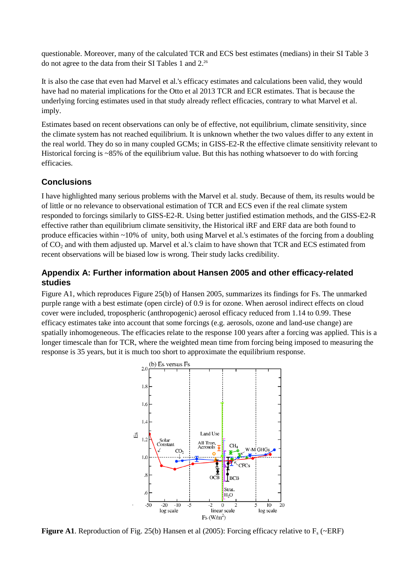questionable. Moreover, many of the calculated TCR and ECS best estimates (medians) in their SI Table 3 do not agree to the data from their SI Tables 1 and 2.<sup>26</sup>

It is also the case that even had Marvel et al.'s efficacy estimates and calculations been valid, they would have had no material implications for the Otto et al 2013 TCR and ECR estimates. That is because the underlying forcing estimates used in that study already reflect efficacies, contrary to what Marvel et al. imply.

Estimates based on recent observations can only be of effective, not equilibrium, climate sensitivity, since the climate system has not reached equilibrium. It is unknown whether the two values differ to any extent in the real world. They do so in many coupled GCMs; in GISS-E2-R the effective climate sensitivity relevant to Historical forcing is ~85% of the equilibrium value. But this has nothing whatsoever to do with forcing efficacies.

## **Conclusions**

I have highlighted many serious problems with the Marvel et al. study. Because of them, its results would be of little or no relevance to observational estimation of TCR and ECS even if the real climate system responded to forcings similarly to GISS-E2-R. Using better justified estimation methods, and the GISS-E2-R effective rather than equilibrium climate sensitivity, the Historical iRF and ERF data are both found to produce efficacies within ~10% of unity, both using Marvel et al.'s estimates of the forcing from a doubling of CO<sup>2</sup> and with them adjusted up. Marvel et al.'s claim to have shown that TCR and ECS estimated from recent observations will be biased low is wrong. Their study lacks credibility.

## **Appendix A: Further information about Hansen 2005 and other efficacy-related studies**

Figure A1, which reproduces Figure 25(b) of Hansen 2005, summarizes its findings for Fs. The unmarked purple range with a best estimate (open circle) of 0.9 is for ozone. When aerosol indirect effects on cloud cover were included, tropospheric (anthropogenic) aerosol efficacy reduced from 1.14 to 0.99. These efficacy estimates take into account that some forcings (e.g. aerosols, ozone and land-use change) are spatially inhomogeneous. The efficacies relate to the response 100 years after a forcing was applied. This is a longer timescale than for TCR, where the weighted mean time from forcing being imposed to measuring the response is 35 years, but it is much too short to approximate the equilibrium response.



**Figure A1**. Reproduction of Fig. 25(b) Hansen et al (2005): Forcing efficacy relative to  $F_s$  (~ERF)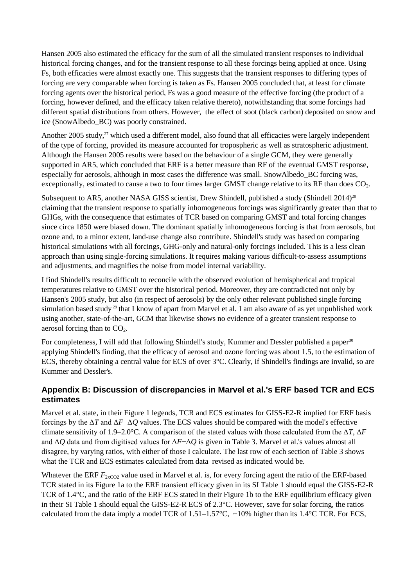Hansen 2005 also estimated the efficacy for the sum of all the simulated transient responses to individual historical forcing changes, and for the transient response to all these forcings being applied at once. Using Fs, both efficacies were almost exactly one. This suggests that the transient responses to differing types of forcing are very comparable when forcing is taken as Fs. Hansen 2005 concluded that, at least for climate forcing agents over the historical period, Fs was a good measure of the effective forcing (the product of a forcing, however defined, and the efficacy taken relative thereto), notwithstanding that some forcings had different spatial distributions from others. However, the effect of soot (black carbon) deposited on snow and ice (SnowAlbedo\_BC) was poorly constrained.

Another 2005 study,<sup>27</sup> which used a different model, also found that all efficacies were largely independent of the type of forcing, provided its measure accounted for tropospheric as well as stratospheric adjustment. Although the Hansen 2005 results were based on the behaviour of a single GCM, they were generally supported in AR5, which concluded that ERF is a better measure than RF of the eventual GMST response, especially for aerosols, although in most cases the difference was small. SnowAlbedo\_BC forcing was, exceptionally, estimated to cause a two to four times larger GMST change relative to its RF than does  $CO<sub>2</sub>$ .

Subsequent to AR5, another NASA GISS scientist, Drew Shindell, published a study (Shindell 2014)<sup>28</sup> claiming that the transient response to spatially inhomogeneous forcings was significantly greater than that to GHGs, with the consequence that estimates of TCR based on comparing GMST and total forcing changes since circa 1850 were biased down. The dominant spatially inhomogeneous forcing is that from aerosols, but ozone and, to a minor extent, land-use change also contribute. Shindell's study was based on comparing historical simulations with all forcings, GHG-only and natural-only forcings included. This is a less clean approach than using single-forcing simulations. It requires making various difficult-to-assess assumptions and adjustments, and magnifies the noise from model internal variability.

I find Shindell's results difficult to reconcile with the observed evolution of hemispherical and tropical temperatures relative to GMST over the historical period. Moreover, they are contradicted not only by Hansen's 2005 study, but also (in respect of aerosols) by the only other relevant published single forcing simulation based study<sup>29</sup> that I know of apart from Marvel et al. I am also aware of as yet unpublished work using another, state-of-the-art, GCM that likewise shows no evidence of a greater transient response to aerosol forcing than to  $CO<sub>2</sub>$ .

For completeness, I will add that following Shindell's study, Kummer and Dessler published a paper<sup>30</sup> applying Shindell's finding, that the efficacy of aerosol and ozone forcing was about 1.5, to the estimation of ECS, thereby obtaining a central value for ECS of over 3°C. Clearly, if Shindell's findings are invalid, so are Kummer and Dessler's.

# **Appendix B: Discussion of discrepancies in Marvel et al.'s ERF based TCR and ECS estimates**

Marvel et al. state, in their Figure 1 legends, TCR and ECS estimates for GISS-E2-R implied for ERF basis forcings by the Δ*T* and Δ*F*−Δ*Q* values. The ECS values should be compared with the model's effective climate sensitivity of 1.9–2.0°C. A comparison of the stated values with those calculated from the Δ*T*, Δ*F* and Δ*Q* data and from digitised values for Δ*F*−Δ*Q* is given in Table 3. Marvel et al.'s values almost all disagree, by varying ratios, with either of those I calculate. The last row of each section of Table 3 shows what the TCR and ECS estimates calculated from data revised as indicated would be.

Whatever the ERF  $F_{2xCO2}$  value used in Marvel et al. is, for every forcing agent the ratio of the ERF-based TCR stated in its Figure 1a to the ERF transient efficacy given in its SI Table 1 should equal the GISS-E2-R TCR of 1.4°C, and the ratio of the ERF ECS stated in their Figure 1b to the ERF equilibrium efficacy given in their SI Table 1 should equal the GISS-E2-R ECS of 2.3°C. However, save for solar forcing, the ratios calculated from the data imply a model TCR of  $1.51-1.57^{\circ}$ C, ~10% higher than its  $1.4^{\circ}$ C TCR. For ECS,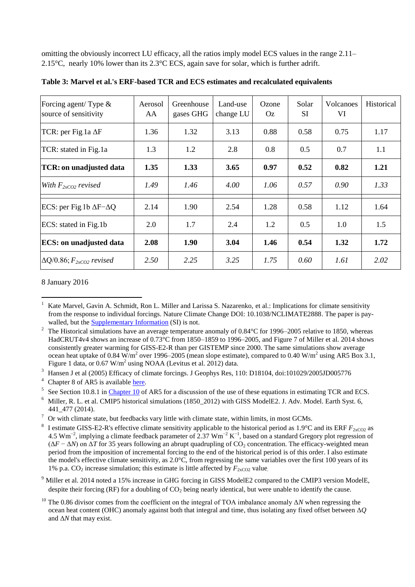omitting the obviously incorrect LU efficacy, all the ratios imply model ECS values in the range 2.11– 2.15°C, nearly 10% lower than its 2.3°C ECS, again save for solar, which is further adrift.

| Forcing agent/ Type $\&$<br>source of sensitivity | Aerosol<br>AA | Greenhouse<br>gases GHG | Land-use<br>change LU | Ozone<br><b>Oz</b> | Solar<br>SI | <b>Volcanoes</b><br>VI | Historical |
|---------------------------------------------------|---------------|-------------------------|-----------------------|--------------------|-------------|------------------------|------------|
| TCR: per Fig.1a $\Delta F$                        | 1.36          | 1.32                    | 3.13                  | 0.88               | 0.58        | 0.75                   | 1.17       |
| TCR: stated in Fig.1a                             | 1.3           | 1.2                     | 2.8                   | 0.8                | 0.5         | 0.7                    | 1.1        |
| <b>TCR: on unadjusted data</b>                    | 1.35          | 1.33                    | 3.65                  | 0.97               | 0.52        | 0.82                   | 1.21       |
| With $F_{2xCO2}$ revised                          | 1.49          | 1.46                    | 4.00                  | 1.06               | 0.57        | 0.90                   | 1.33       |
| ECS: per Fig. 1b $\Delta F - \Delta Q$            | 2.14          | 1.90                    | 2.54                  | 1.28               | 0.58        | 1.12                   | 1.64       |
| ECS: stated in Fig.1b                             | 2.0           | 1.7                     | 2.4                   | 1.2                | 0.5         | 1.0                    | 1.5        |
| <b>ECS:</b> on unadjusted data                    | 2.08          | 1.90                    | 3.04                  | 1.46               | 0.54        | 1.32                   | 1.72       |
| $\Delta Q/0.86$ ; $F_{2xCO2}$ revised             | 2.50          | 2.25                    | 3.25                  | 1.75               | 0.60        | 1.61                   | 2.02       |

**Table 3: Marvel et al.'s ERF-based TCR and ECS estimates and recalculated equivalents**

#### 8 January 2016

<sup>4</sup> Chapter 8 of AR5 is available [here.](http://www.climatechange2013.org/images/report/WG1AR5_Chapter08_FINAL.pdf)

<sup>9</sup> Miller et al. 2014 noted a 15% increase in GHG forcing in GISS ModelE2 compared to the CMIP3 version ModelE, despite their forcing (RF) for a doubling of  $CO<sub>2</sub>$  being nearly identical, but were unable to identify the cause.

 $\overline{a}$ 1 Kate Marvel, Gavin A. Schmidt, Ron L. Miller and Larissa S. Nazarenko, et al.: Implications for climate sensitivity from the response to individual forcings. Nature Climate Change DOI: 10.1038/NCLIMATE2888. The paper is paywalled, but the **Supplementary Information** (SI) is not.

<sup>2</sup> The Historical simulations have an average temperature anomaly of 0.84°C for 1996–2005 relative to 1850, whereas HadCRUT4v4 shows an increase of 0.73°C from 1850–1859 to 1996–2005, and Figure 7 of Miller et al. 2014 shows consistently greater warming for GISS-E2-R than per GISTEMP since 2000. The same simulations show average ocean heat uptake of 0.84 W/m<sup>2</sup> over 1996–2005 (mean slope estimate), compared to 0.40 W/m<sup>2</sup> using AR5 Box 3.1, Figure 1 data, or  $0.67 \text{ W/m}^2$  using NOAA (Levitus et al. 2012) data.

<sup>&</sup>lt;sup>3</sup> Hansen J et al (2005) Efficacy of climate forcings. J Geophys Res, 110: D18104, doi:101029/2005JD005776

<sup>&</sup>lt;sup>5</sup> See Section 10.8.1 in [Chapter 10](http://www.climatechange2013.org/images/report/WG1AR5_Chapter10_FINAL.pdf) of AR5 for a discussion of the use of these equations in estimating TCR and ECS.

<sup>&</sup>lt;sup>6</sup> Miller, R. L. et al. CMIP5 historical simulations (1850\_2012) with GISS ModelE2. J. Adv. Model. Earth Syst. 6, 441\_477 (2014).

 $7$  Or with climate state, but feedbacks vary little with climate state, within limits, in most GCMs.

<sup>8</sup> I estimate GISS-E2-R's effective climate sensitivity applicable to the historical period as  $1.9^{\circ}$ C and its ERF  $F_{2xCO2}$  as 4.5 Wm<sup>-2</sup>, implying a climate feedback parameter of 2.37 Wm<sup>-2</sup> K<sup>-1</sup>, based on a standard Gregory plot regression of  $(\Delta F - \Delta N)$  on  $\Delta T$  for 35 years following an abrupt quadrupling of CO<sub>2</sub> concentration. The efficacy-weighted mean period from the imposition of incremental forcing to the end of the historical period is of this order. I also estimate the model's effective climate sensitivity, as 2.0°C, from regressing the same variables over the first 100 years of its 1% p.a.  $CO_2$  increase simulation; this estimate is little affected by  $F_{2xCO2}$  value.

<sup>&</sup>lt;sup>10</sup> The 0.86 divisor comes from the coefficient on the integral of TOA imbalance anomaly Δ*N* when regressing the ocean heat content (OHC) anomaly against both that integral and time, thus isolating any fixed offset between Δ*Q* and Δ*N* that may exist.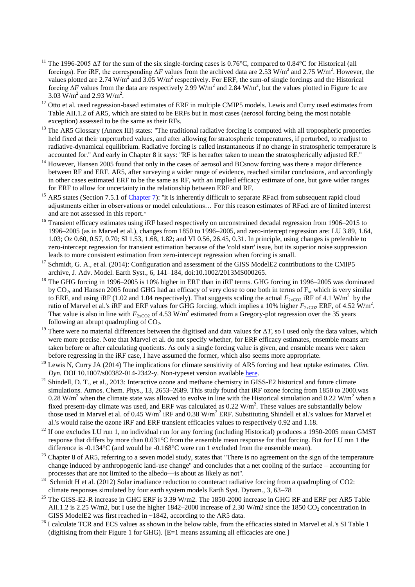<sup>11</sup> The 1996-2005 Δ*T* for the sum of the six single-forcing cases is 0.76°C, compared to 0.84°C for Historical (all forcings). For iRF, the corresponding  $\Delta F$  values from the archived data are 2.53 W/m<sup>2</sup> and 2.75 W/m<sup>2</sup>. However, the values plotted are 2.74 W/m<sup>2</sup> and 3.05 W/m<sup>2</sup> respectively. For ERF, the sum-of single forcings and the Historical forcing  $\Delta F$  values from the data are respectively 2.99 W/m<sup>2</sup> and 2.84 W/m<sup>2</sup>, but the values plotted in Figure 1c are 3.03  $\text{W/m}^2$  and 2.93  $\text{W/m}^2$ .

1

- <sup>12</sup> Otto et al. used regression-based estimates of ERF in multiple CMIP5 models. Lewis and Curry used estimates from Table AII.1.2 of AR5, which are stated to be ERFs but in most cases (aerosol forcing being the most notable exception) assessed to be the same as their RFs.
- <sup>13</sup> The AR5 Glossary (Annex III) states: "The traditional radiative forcing is computed with all tropospheric properties held fixed at their unperturbed values, and after allowing for stratospheric temperatures, if perturbed, to readjust to radiative-dynamical equilibrium. Radiative forcing is called instantaneous if no change in stratospheric temperature is accounted for.'' And early in Chapter 8 it says: ''RF is hereafter taken to mean the stratospherically adjusted RF.''
- <sup>14</sup> However, Hansen 2005 found that only in the cases of aerosol and BCsnow forcing was there a major difference between RF and ERF. AR5, after surveying a wider range of evidence, reached similar conclusions, and accordingly in other cases estimated ERF to be the same as RF, with an implied efficacy estimate of one, but gave wider ranges for ERF to allow for uncertainty in the relationship between ERF and RF.
- <sup>15</sup> AR5 states (Section 7.5.1 of [Chapter 7\)](http://www.climatechange2013.org/images/report/WG1AR5_Chapter07_FINAL.pdf): "it is inherently difficult to separate RFaci from subsequent rapid cloud adjustments either in observations or model calculations… For this reason estimates of RFaci are of limited interest and are not assessed in this report.''
- <sup>16</sup> Transient efficacy estimates using iRF based respectively on unconstrained decadal regression from 1906–2015 to 1996–2005 (as in Marvel et al.), changes from 1850 to 1996–2005, and zero-intercept regression are: LU 3.89, 1.64, 1.03; Oz 0.60, 0.57, 0.70; SI 1.53, 1.68, 1.82; and VI 0.56, 26.45, 0.31. In principle, using changes is preferable to zero-intercept regression for transient estimation because of the 'cold start' issue, but its superior noise suppression leads to more consistent estimation from zero-intercept regression when forcing is small.
- <sup>17</sup> Schmidt, G. A., et al. (2014): Configuration and assessment of the GISS ModelE2 contributions to the CMIP5 archive, J. Adv. Model. Earth Syst., 6, 141–184, doi:10.1002/2013MS000265.
- $18$  The GHG forcing in 1996–2005 is 10% higher in ERF than in iRF terms. GHG forcing in 1996–2005 was dominated by  $CO<sub>2</sub>$ , and Hansen 2005 found GHG had an efficacy of very close to one both in terms of  $F<sub>s</sub>$ , which is very similar to ERF, and using iRF (1.02 and 1.04 respectively). That suggests scaling the actual  $F_{2xCO2}$  iRF of 4.1 W/m<sup>2</sup> by the ratio of Marvel et al.'s iRF and ERF values for GHG forcing, which implies a 10% higher  $F_{2xCO2}$  ERF, of 4.52 W/m<sup>2</sup>. That value is also in line with  $F_{2xCO2}$  of 4.53 W/m<sup>2</sup> estimated from a Gregory-plot regression over the 35 years following an abrupt quadrupling of  $CO<sub>2</sub>$ .
- <sup>19</sup> There were no material differences between the digitised and data values for  $\Delta T$ , so I used only the data values, which were more precise. Note that Marvel et al. do not specify whether, for ERF efficacy estimates, ensemble means are taken before or after calculating quotients. As only a single forcing value is given, and ensmble means were taken before regressing in the iRF case, I have assumed the former, which also seems more appropriate.
- <sup>20</sup> Lewis N, Curry JA (2014) The implications for climate sensitivity of AR5 forcing and heat uptake estimates. *Clim. Dyn.* DOI 10.1007/s00382-014-2342-y. Non-typeset version available [here.](https://niclewis.files.wordpress.com/2014/09/lewiscurry_ar5-energy-budget-climate-sensitivity_clim-dyn2014_accepted-reformatted-edited.pdf)
- <sup>21</sup> Shindell, D. T., et al., 2013: Interactive ozone and methane chemistry in GISS-E2 historical and future climate simulations. Atmos. Chem. Phys., 13, 2653–2689. This study found that iRF ozone forcing from 1850 to 2000.was 0.28 W/m<sup>2</sup> when the climate state was allowed to evolve in line with the Historical simulation and 0.22 W/m<sup>2</sup> when a fixed present-day climate was used, and ERF was calculated as  $0.22 \text{ W/m}^2$ . These values are substantially below those used in Marvel et al. of 0.45 W/m<sup>2</sup> iRF and 0.38 W/m<sup>2</sup> ERF. Substituting Shindell et al.'s values for Marvel et al.'s would raise the ozone iRF and ERF transient efficacies values to respectively 0.92 and 1.18.
- $^{22}$  If one excludes LU run 1, no individual run for any forcing (including Historical) produces a 1950-2005 mean GMST response that differs by more than 0.031°C from the ensemble mean response for that forcing. But for LU run 1 the difference is -0.134°C (and would be -0.168°C were run 1 excluded from the ensemble mean).
- <sup>23</sup> Chapter 8 of AR5, referring to a seven model study, states that "There is no agreement on the sign of the temperature change induced by anthropogenic land-use change'' and concludes that a net cooling of the surface – accounting for processes that are not limited to the albedo—is about as likely as not''.
- $24$  Schmidt H et al. (2012) Solar irradiance reduction to counteract radiative forcing from a quadrupling of CO2: climate responses simulated by four earth system models Earth Syst. Dynam., 3, 63–78
- <sup>25</sup> The GISS-E2-R increase in GHG ERF is 3.39 W/m2. The 1850-2000 increase in GHG RF and ERF per AR5 Table AII.1.2 is 2.25 W/m2, but I use the higher 1842–2000 increase of 2.30 W/m2 since the 1850 CO<sub>2</sub> concentration in GISS ModelE2 was first reached in ~1842, according to the AR5 data.
- <sup>26</sup> I calculate TCR and ECS values as shown in the below table, from the efficacies stated in Marvel et al.'s SI Table 1 (digitising from their Figure 1 for GHG). [E=1 means assuming all efficacies are one.]